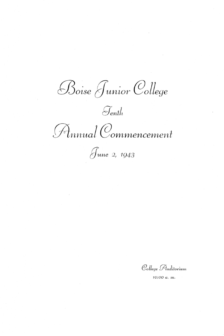Boise Junior College

 $\mathcal{J}_{\mathit{enth}}$ 

Finnual Commencement

June 2, 1943

College Auditorium

10:00 a. m.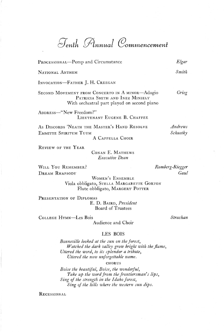~nlh *{A;nnual @ommencemenl* 

| PROCESSIONAL-Pomp and Circumstance                                                                                                | Elgar               |
|-----------------------------------------------------------------------------------------------------------------------------------|---------------------|
| NATIONAL ANTHEM                                                                                                                   | Smith               |
| INVOCATION-FATHER J. H. CREEGAN                                                                                                   |                     |
| SECOND MOVEMENT FROM CONCERTO IN A MINOR-Adagio<br>PATRICIA SMITH AND INEZ MINIELY<br>With orchestral part played on second piano | Grieg               |
| ADDRESS-"New Freedom?"<br>LIEUTENANT EUGENE B. CHAFFEE                                                                            |                     |
| AS DISCORDS 'NEATH THE MASTER'S HAND RESOLVE<br>EMMITTE SPIRITUM TUUM<br>A CAPPELLA CHOIR                                         | Andrews<br>Schuetky |
| REVIEW OF THE YEAR<br>COMAN E MATHEWS                                                                                             |                     |

CONAN E. MATHEWS *Executive Dean* 

WILL You REMEMBER? DREAM RHAPSODY

*Romberg-Riegger Gaul* 

WOMEN'S ENSEMBLE Viola obbligato, STELLA MARGARETTE GORTON Flute obbligato, MARGERY POTTER

PRESENTATION OF DIPLOMAS E. D. BAIRD, *President*  Board of Trustees

COLLEGE HYMN-Les Bois

Audience and Choir

*Strachan* 

## LES BOIS

*Bonneville looked at the sun on the Jorest, Watched the dark valley grow bright with the flame, Uttered the word, to its splendor a tribute, Uttered the now unJorgettable name.* 

#### **CHORUS**

*Boise the beautiful, Boise, the wonderful,*  Take up the word from the frontiersman's lips, *Sing oj the strength in the Idaho Jorest, Sing oj the hills where the western sun dips.* 

**RECESSIONAL**